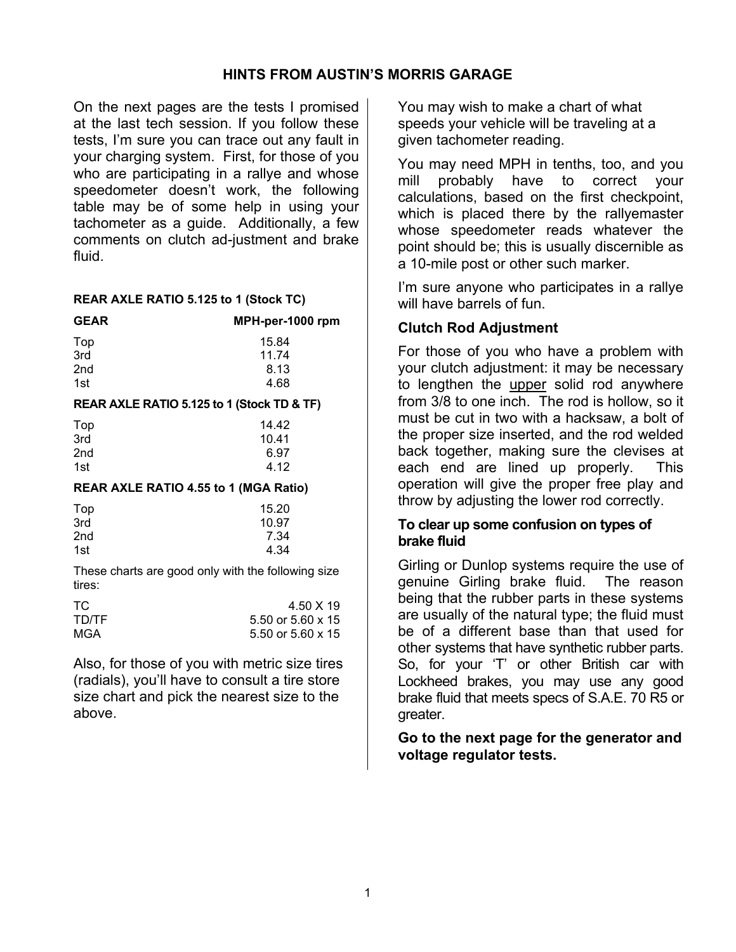# **HINTS FROM AUSTIN'S MORRIS GARAGE**

On the next pages are the tests I promised at the last tech session. If you follow these tests, I'm sure you can trace out any fault in your charging system. First, for those of you who are participating in a rallye and whose speedometer doesn't work, the following table may be of some help in using your tachometer as a guide. Additionally, a few comments on clutch ad-justment and brake fluid.

#### **REAR AXLE RATIO 5.125 to 1 (Stock TC)**

| <b>GEAR</b>     | MPH-per-1000 rpm |  |  |
|-----------------|------------------|--|--|
|                 | 15.84            |  |  |
| Top<br>3rd      | 11.74            |  |  |
| 2 <sub>nd</sub> | 8.13             |  |  |
| 1st             | 4.68             |  |  |
|                 |                  |  |  |

#### **REAR AXLE RATIO 5.125 to 1 (Stock TD & TF)**

| Top             | 14.42 |
|-----------------|-------|
| 3rd             | 10.41 |
| 2 <sub>nd</sub> | 6.97  |
| 1st             | 4.12  |

#### **REAR AXLE RATIO 4.55 to 1 (MGA Ratio)**

| Top             | 15.20 |
|-----------------|-------|
| 3rd             | 10.97 |
| 2 <sub>nd</sub> | 7.34  |
| 1st             | 4.34  |

These charts are good only with the following size tires:

| TC.   | 4.50 X 19                |
|-------|--------------------------|
| TD/TF | 5.50 or 5.60 $\times$ 15 |
| MGA   | 5.50 or 5.60 $\times$ 15 |

Also, for those of you with metric size tires (radials), you'll have to consult a tire store size chart and pick the nearest size to the above.

You may wish to make a chart of what speeds your vehicle will be traveling at a given tachometer reading.

You may need MPH in tenths, too, and you mill probably have to correct your calculations, based on the first checkpoint, which is placed there by the rallyemaster whose speedometer reads whatever the point should be; this is usually discernible as a 10-mile post or other such marker.

I'm sure anyone who participates in a rallye will have barrels of fun.

# **Clutch Rod Adjustment**

For those of you who have a problem with your clutch adjustment: it may be necessary to lengthen the upper solid rod anywhere from 3/8 to one inch. The rod is hollow, so it must be cut in two with a hacksaw, a bolt of the proper size inserted, and the rod welded back together, making sure the clevises at each end are lined up properly. This operation will give the proper free play and throw by adjusting the lower rod correctly.

## **To clear up some confusion on types of brake fluid**

Girling or Dunlop systems require the use of genuine Girling brake fluid. The reason being that the rubber parts in these systems are usually of the natural type; the fluid must be of a different base than that used for other systems that have synthetic rubber parts. So, for your 'T' or other British car with Lockheed brakes, you may use any good brake fluid that meets specs of S.A.E. 70 R5 or greater.

# **Go to the next page for the generator and voltage regulator tests.**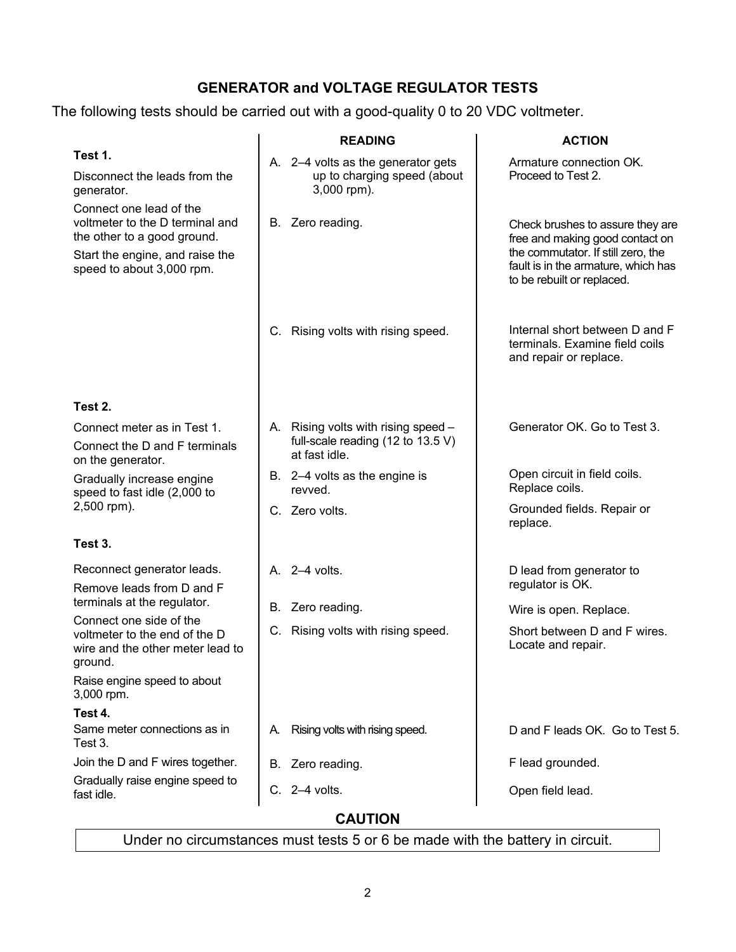# **GENERATOR and VOLTAGE REGULATOR TESTS**

The following tests should be carried out with a good-quality 0 to 20 VDC voltmeter.

|                                                                                                                                                           | <b>READING</b>                                                                            | <b>ACTION</b>                                                                                                                                                                  |
|-----------------------------------------------------------------------------------------------------------------------------------------------------------|-------------------------------------------------------------------------------------------|--------------------------------------------------------------------------------------------------------------------------------------------------------------------------------|
| Test 1.<br>Disconnect the leads from the<br>generator.                                                                                                    | A. 2-4 volts as the generator gets<br>up to charging speed (about<br>3,000 rpm).          | Armature connection OK.<br>Proceed to Test 2.                                                                                                                                  |
| Connect one lead of the<br>voltmeter to the D terminal and<br>the other to a good ground.<br>Start the engine, and raise the<br>speed to about 3,000 rpm. | B. Zero reading.                                                                          | Check brushes to assure they are<br>free and making good contact on<br>the commutator. If still zero, the<br>fault is in the armature, which has<br>to be rebuilt or replaced. |
|                                                                                                                                                           | C. Rising volts with rising speed.                                                        | Internal short between D and F<br>terminals. Examine field coils<br>and repair or replace.                                                                                     |
| Test 2.                                                                                                                                                   |                                                                                           |                                                                                                                                                                                |
| Connect meter as in Test 1.<br>Connect the D and F terminals<br>on the generator.                                                                         | A. Rising volts with rising speed -<br>full-scale reading (12 to 13.5 V)<br>at fast idle. | Generator OK. Go to Test 3.                                                                                                                                                    |
| Gradually increase engine<br>speed to fast idle (2,000 to                                                                                                 | B. 2-4 volts as the engine is<br>revved.                                                  | Open circuit in field coils.<br>Replace coils.                                                                                                                                 |
| 2,500 rpm).                                                                                                                                               | C. Zero volts.                                                                            | Grounded fields. Repair or<br>replace.                                                                                                                                         |
| Test 3.                                                                                                                                                   |                                                                                           |                                                                                                                                                                                |
| Reconnect generator leads.                                                                                                                                | A. 2-4 volts.                                                                             | D lead from generator to<br>regulator is OK.                                                                                                                                   |
| Remove leads from D and F<br>terminals at the regulator.                                                                                                  | B. Zero reading.                                                                          | Wire is open. Replace.                                                                                                                                                         |
| Connect one side of the<br>voltmeter to the end of the D<br>wire and the other meter lead to<br>around.                                                   | C. Rising volts with rising speed.                                                        | Short between D and F wires.<br>Locate and repair.                                                                                                                             |
| Raise engine speed to about<br>3,000 rpm.                                                                                                                 |                                                                                           |                                                                                                                                                                                |
| Test 4.                                                                                                                                                   |                                                                                           |                                                                                                                                                                                |
| Same meter connections as in<br>Test 3.                                                                                                                   | Rising volts with rising speed.<br>А.                                                     | D and F leads OK. Go to Test 5.                                                                                                                                                |
| Join the D and F wires together.                                                                                                                          | B. Zero reading.                                                                          | F lead grounded.                                                                                                                                                               |
| Gradually raise engine speed to<br>fast idle.                                                                                                             | $C. 2-4$ volts.                                                                           | Open field lead.                                                                                                                                                               |

**CAUTION** 

Under no circumstances must tests 5 or 6 be made with the battery in circuit.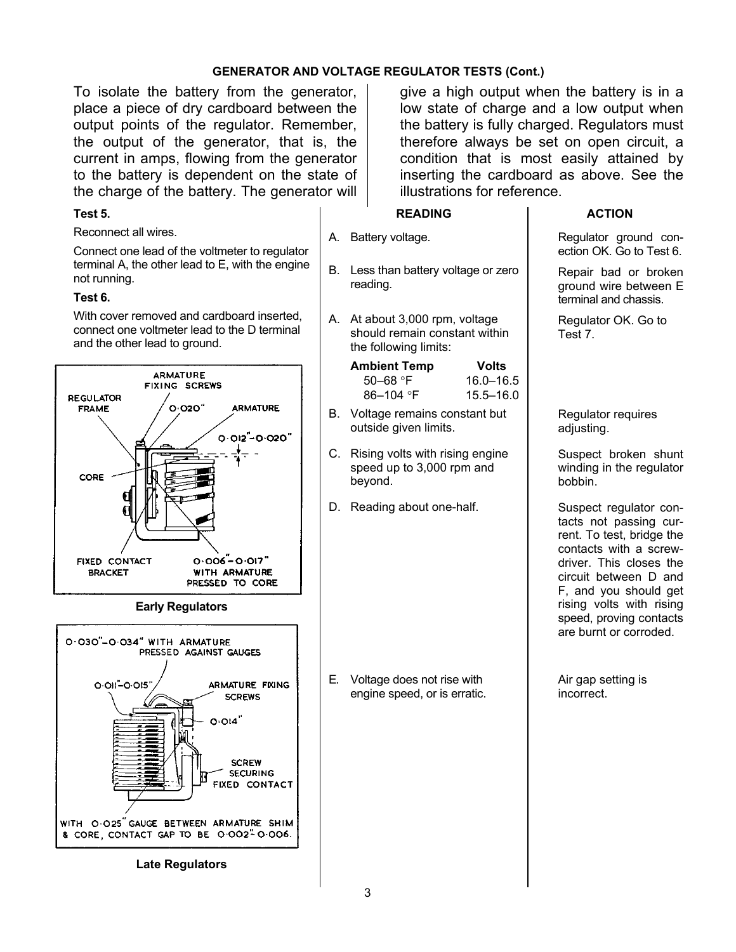#### **GENERATOR AND VOLTAGE REGULATOR TESTS (Cont.)**

To isolate the battery from the generator, place a piece of dry cardboard between the output points of the regulator. Remember, the output of the generator, that is, the current in amps, flowing from the generator to the battery is dependent on the state of the charge of the battery. The generator will

#### **Test 5.**

#### Reconnect all wires.

Connect one lead of the voltmeter to regulator terminal A, the other lead to E, with the engine not running.

## **Test 6.**

With cover removed and cardboard inserted, connect one voltmeter lead to the D terminal and the other lead to ground.



#### **Early Regulators**



**Late Regulators**

give a high output when the battery is in a low state of charge and a low output when the battery is fully charged. Regulators must therefore always be set on open circuit, a condition that is most easily attained by inserting the cardboard as above. See the illustrations for reference.

#### **READING**

A. Battery voltage.

- B. Less than battery voltage or zero reading.
- A. At about 3,000 rpm, voltage should remain constant within the following limits:

| Ambient Temp | Volts     |
|--------------|-----------|
| $50 - 68$ °F | 16.0–16.5 |
| 86–104 °F    | 15.5–16.0 |

- B. Voltage remains constant but outside given limits.
- C. Rising volts with rising engine speed up to 3,000 rpm and beyond.
- D. Reading about one-half.

E. Voltage does not rise with engine speed, or is erratic.

#### **ACTION**

Regulator ground conection OK. Go to Test 6.

Repair bad or broken ground wire between E terminal and chassis.

Regulator OK. Go to Test 7.

Regulator requires adjusting.

Suspect broken shunt winding in the regulator bobbin.

Suspect regulator contacts not passing current. To test, bridge the contacts with a screwdriver. This closes the circuit between D and F, and you should get rising volts with rising speed, proving contacts are burnt or corroded.

Air gap setting is incorrect.